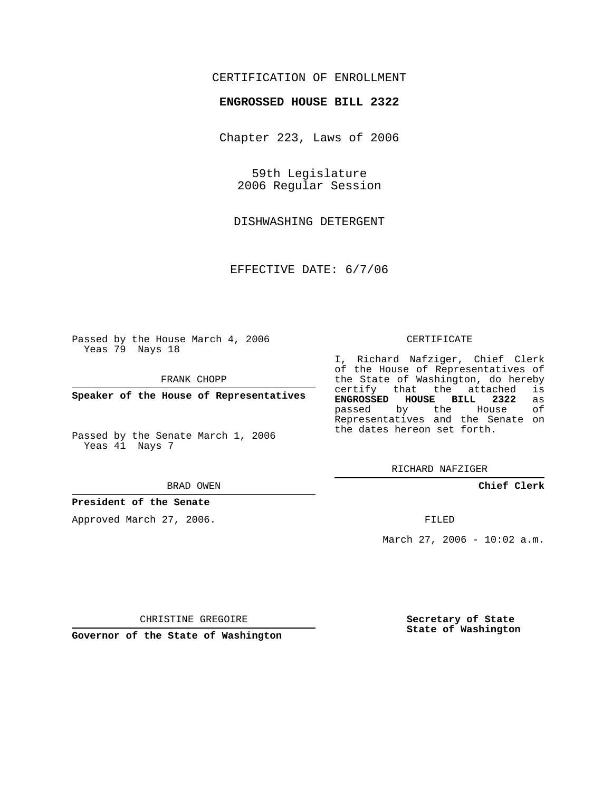## CERTIFICATION OF ENROLLMENT

## **ENGROSSED HOUSE BILL 2322**

Chapter 223, Laws of 2006

59th Legislature 2006 Regular Session

DISHWASHING DETERGENT

EFFECTIVE DATE: 6/7/06

Passed by the House March 4, 2006 Yeas 79 Nays 18

FRANK CHOPP

**Speaker of the House of Representatives**

Passed by the Senate March 1, 2006 Yeas 41 Nays 7

#### BRAD OWEN

## **President of the Senate**

Approved March 27, 2006.

### CERTIFICATE

I, Richard Nafziger, Chief Clerk of the House of Representatives of the State of Washington, do hereby<br>certify that the attached is certify that the attached **ENGROSSED HOUSE BILL 2322** as passed by the House Representatives and the Senate on the dates hereon set forth.

RICHARD NAFZIGER

## **Chief Clerk**

FILED

March 27, 2006 - 10:02 a.m.

CHRISTINE GREGOIRE

**Governor of the State of Washington**

**Secretary of State State of Washington**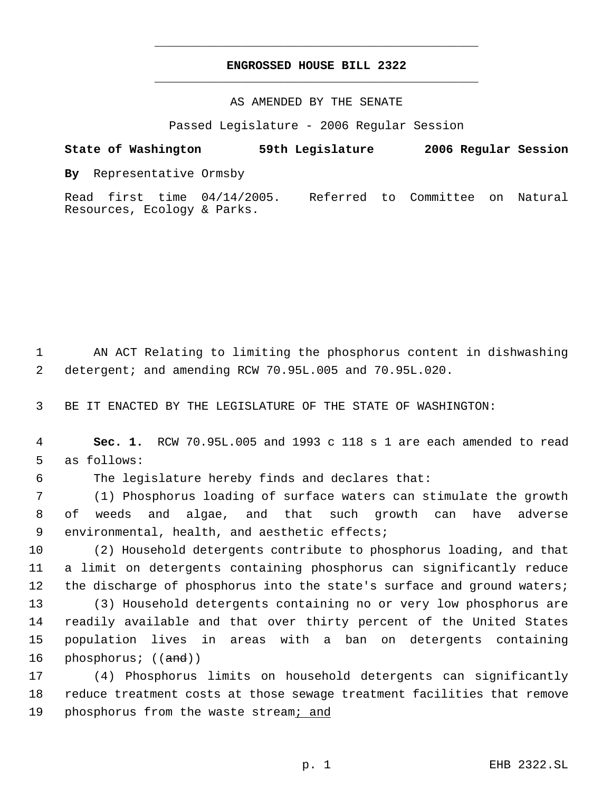# **ENGROSSED HOUSE BILL 2322** \_\_\_\_\_\_\_\_\_\_\_\_\_\_\_\_\_\_\_\_\_\_\_\_\_\_\_\_\_\_\_\_\_\_\_\_\_\_\_\_\_\_\_\_\_

\_\_\_\_\_\_\_\_\_\_\_\_\_\_\_\_\_\_\_\_\_\_\_\_\_\_\_\_\_\_\_\_\_\_\_\_\_\_\_\_\_\_\_\_\_

## AS AMENDED BY THE SENATE

Passed Legislature - 2006 Regular Session

**State of Washington 59th Legislature 2006 Regular Session By** Representative Ormsby Read first time 04/14/2005. Referred to Committee on Natural Resources, Ecology & Parks.

 1 AN ACT Relating to limiting the phosphorus content in dishwashing 2 detergent; and amending RCW 70.95L.005 and 70.95L.020.

3 BE IT ENACTED BY THE LEGISLATURE OF THE STATE OF WASHINGTON:

 4 **Sec. 1.** RCW 70.95L.005 and 1993 c 118 s 1 are each amended to read 5 as follows:

6 The legislature hereby finds and declares that:

 7 (1) Phosphorus loading of surface waters can stimulate the growth 8 of weeds and algae, and that such growth can have adverse 9 environmental, health, and aesthetic effects;

10 (2) Household detergents contribute to phosphorus loading, and that 11 a limit on detergents containing phosphorus can significantly reduce 12 the discharge of phosphorus into the state's surface and ground waters;

 (3) Household detergents containing no or very low phosphorus are readily available and that over thirty percent of the United States population lives in areas with a ban on detergents containing 16 phosphorus; ((and))

17 (4) Phosphorus limits on household detergents can significantly 18 reduce treatment costs at those sewage treatment facilities that remove 19 phosphorus from the waste stream; and